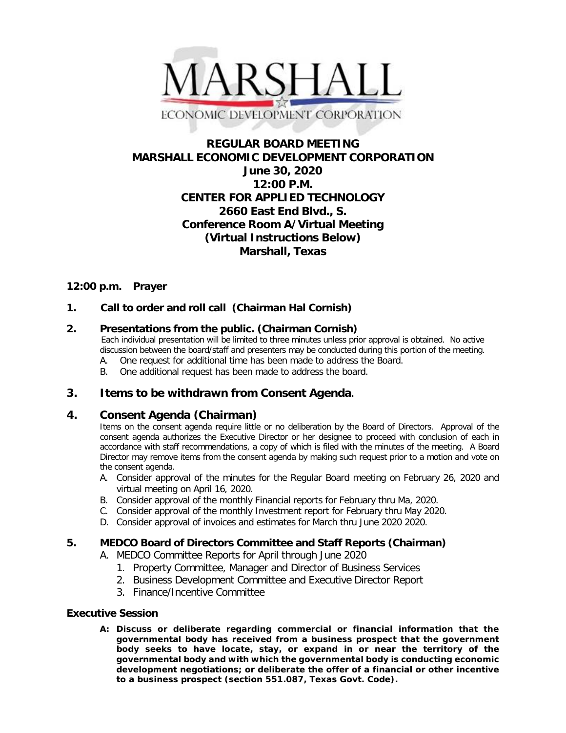

# **REGULAR BOARD MEETING MARSHALL ECONOMIC DEVELOPMENT CORPORATION June 30, 2020 12:00 P.M. CENTER FOR APPLIED TECHNOLOGY 2660 East End Blvd., S. Conference Room A/Virtual Meeting (Virtual Instructions Below) Marshall, Texas**

## **12:00 p.m. Prayer**

## **1. Call to order and roll call (Chairman Hal Cornish)**

## **2. Presentations from the public. (Chairman Cornish)**

 Each individual presentation will be limited to three minutes unless prior approval is obtained. No active discussion between the board/staff and presenters may be conducted during this portion of the meeting.

- A. One request for additional time has been made to address the Board.
- B. One additional request has been made to address the board.

## **3. Items to be withdrawn from Consent Agenda.**

#### **4. Consent Agenda (Chairman)**

Items on the consent agenda require little or no deliberation by the Board of Directors. Approval of the consent agenda authorizes the Executive Director or her designee to proceed with conclusion of each in accordance with staff recommendations, a copy of which is filed with the minutes of the meeting. A Board Director may remove items from the consent agenda by making such request prior to a motion and vote on the consent agenda.

- A. Consider approval of the minutes for the Regular Board meeting on February 26, 2020 and virtual meeting on April 16, 2020.
- B. Consider approval of the monthly Financial reports for February thru Ma, 2020.
- C. Consider approval of the monthly Investment report for February thru May 2020.
- D. Consider approval of invoices and estimates for March thru June 2020 2020.

#### **5. MEDCO Board of Directors Committee and Staff Reports (Chairman)**

- A. MEDCO Committee Reports for April through June 2020
	- 1. Property Committee, Manager and Director of Business Services
	- 2. Business Development Committee and Executive Director Report
	- 3. Finance/Incentive Committee

#### **Executive Session**

**A: Discuss or deliberate regarding commercial or financial information that the governmental body has received from a business prospect that the government body seeks to have locate, stay, or expand in or near the territory of the governmental body and with which the governmental body is conducting economic development negotiations; or deliberate the offer of a financial or other incentive to a business prospect (section 551.087, Texas Govt. Code).**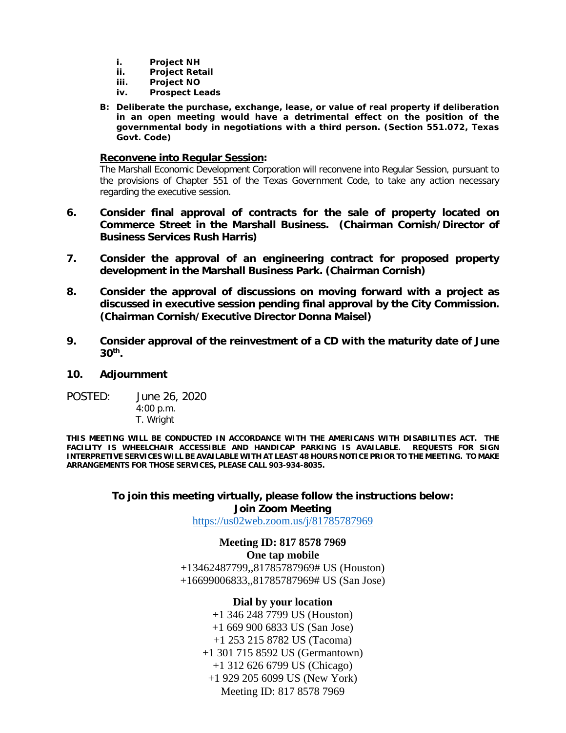- **i. Project NH**
- **ii. Project Retail**
- **iii. Project NO**
- **iv. Prospect Leads**
- **B: Deliberate the purchase, exchange, lease, or value of real property if deliberation in an open meeting would have a detrimental effect on the position of the governmental body in negotiations with a third person. (Section 551.072, Texas Govt. Code)**

#### **Reconvene into Regular Session:**

The Marshall Economic Development Corporation will reconvene into Regular Session, pursuant to the provisions of Chapter 551 of the Texas Government Code, to take any action necessary regarding the executive session.

- **6. Consider final approval of contracts for the sale of property located on Commerce Street in the Marshall Business. (Chairman Cornish/Director of Business Services Rush Harris)**
- **7. Consider the approval of an engineering contract for proposed property development in the Marshall Business Park. (Chairman Cornish)**
- **8. Consider the approval of discussions on moving forward with a project as discussed in executive session pending final approval by the City Commission. (Chairman Cornish/Executive Director Donna Maisel)**
- **9. Consider approval of the reinvestment of a CD with the maturity date of June 30th.**

#### **10. Adjournment**

POSTED: June 26, 2020 4:00 p.m. T. Wright

**THIS MEETING WILL BE CONDUCTED IN ACCORDANCE WITH THE AMERICANS WITH DISABILITIES ACT. THE FACILITY IS WHEELCHAIR ACCESSIBLE AND HANDICAP PARKING IS AVAILABLE. REQUESTS FOR SIGN INTERPRETIVE SERVICES WILL BE AVAILABLE WITH AT LEAST 48 HOURS NOTICE PRIOR TO THE MEETING. TO MAKE ARRANGEMENTS FOR THOSE SERVICES, PLEASE CALL 903-934-8035.**

## **To join this meeting virtually, please follow the instructions below: Join Zoom Meeting**

<https://us02web.zoom.us/j/81785787969>

## **Meeting ID: 817 8578 7969**

#### **One tap mobile**

+13462487799,,81785787969# US (Houston) +16699006833,,81785787969# US (San Jose)

## **Dial by your location**

+1 346 248 7799 US (Houston) +1 669 900 6833 US (San Jose) +1 253 215 8782 US (Tacoma) +1 301 715 8592 US (Germantown) +1 312 626 6799 US (Chicago) +1 929 205 6099 US (New York) Meeting ID: 817 8578 7969